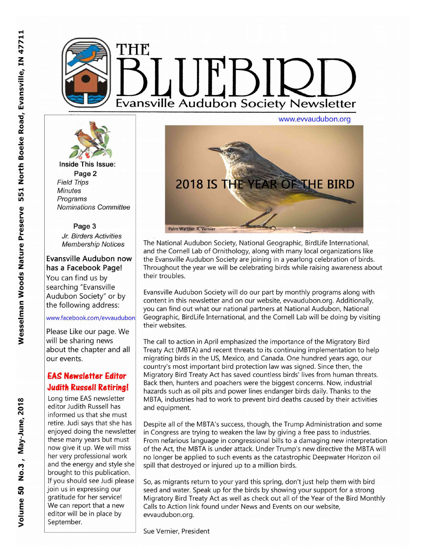



Inside This Issue: Page 2 **Field Trips Minutes** Programs **Nominations Committee** 

### Page 3

Jr. Birders Activities **Membership Notices** 

**Evansville Audubon now** has a Facebook Page! You can find us by searching "Evansville Audubon Society" or by the following address:

### www.facebook.com/evvaudubon

Please Like our page. We will be sharing news about the chapter and all our events.

# **EAS Newsletter Editor Judith Russell Retiring!**

Long time EAS newsletter editor Judith Russell has informed us that she must retire. Judi says that she has enjoyed doing the newsletter these many years but must now give it up. We will miss her very professional work and the energy and style she brought to this publication. If you should see Judi please join us in expressing our gratitude for her service! We can report that a new editor will be in place by September.



The National Audubon Society, National Geographic, BirdLife International, and the Cornell Lab of Ornithology, along with many local organizations like the Evansville Audubon Society are joining in a yearlong celebration of birds. Throughout the year we will be celebrating birds while raising awareness about their troubles.

Evansville Audubon Society will do our part by monthly programs along with content in this newsletter and on our website, evvaudubon.org. Additionally, you can find out what our national partners at National Audubon, National Geographic, BirdLife International, and the Cornell Lab will be doing by visiting their websites.

The call to action in April emphasized the importance of the Migratory Bird Treaty Act (MBTA) and recent threats to its continuing implementation to help migrating birds in the US, Mexico, and Canada. One hundred years ago, our country's most important bird protection law was signed. Since then, the Migratory Bird Treaty Act has saved countless birds' lives from human threats. Back then, hunters and poachers were the biggest concerns. Now, industrial hazards such as oil pits and power lines endanger birds daily. Thanks to the MBTA, industries had to work to prevent bird deaths caused by their activities and equipment.

Despite all of the MBTA's success, though, the Trump Administration and some in Congress are trying to weaken the law by giving a free pass to industries. From nefarious language in congressional bills to a damaging new interpretation of the Act, the MBTA is under attack. Under Trump's new directive the MBTA will no longer be applied to such events as the catastrophic Deepwater Horizon oil spill that destroyed or injured up to a million birds.

So, as migrants return to your yard this spring, don't just help them with bird seed and water. Speak up for the birds by showing your support for a strong Migratory Bird Treaty Act as well as check out all of the Year of the Bird Monthly Calls to Action link found under News and Events on our website, evvaudubon.org.

Sue Vernier, President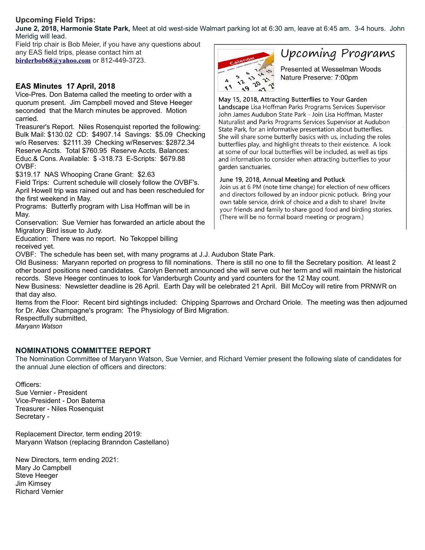## **Upcoming Field Trips:**

**June 2, 2018, Harmonie State Park,** Meet at old west-side Walmart parking lot at 6:30 am, leave at 6:45 am. 3-4 hours. John Meridig will lead.

Field trip chair is Bob Meier, if you have any questions about any EAS field trips, please contact him at **[birderbob68@yahoo.com](mailto:birderbob68@yahoo.com)** or 812-449-3723.

### **EAS Minutes 17 April, 2018**

Vice-Pres. Don Batema called the meeting to order with a quorum present. Jim Campbell moved and Steve Heeger seconded that the March minutes be approved. Motion carried.

Treasurer's Report. Niles Rosenquist reported the following: Bulk Mail: \$130.02 CD: \$4907.14 Savings: \$5.09 Checking w/o Reserves: \$2111.39 Checking w/Reserves: \$2872.34 Reserve Accts. Total \$760.95 Reserve Accts. Balances: Educ.& Cons. Available: \$ -318.73 E-Scripts: \$679.88 OVBF:

\$319.17 NAS Whooping Crane Grant: \$2.63

Field Trips: Current schedule will closely follow the OVBF's. April Howell trip was rained out and has been rescheduled for the first weekend in May.

Programs: Butterfly program with Lisa Hoffman will be in May.

Conservation: Sue Vernier has forwarded an article about the Migratory Bird issue to Judy.

Education: There was no report. No Tekoppel billing received yet.



# Upcoming Programs

Presented at Wesselman Woods Nature Preserve: 7:00pm

May 15, 2018, Attracting Butterflies to Your Garden Landscape Lisa Hoffman Parks Programs Services Supervisor John James Audubon State Park - Join Lisa Hoffman, Master Naturalist and Parks Programs Services Supervisor at Audubon State Park, for an informative presentation about butterflies. She will share some butterfly basics with us, including the roles butterflies play, and highlight threats to their existence. A look at some of our local butterflies will be included, as well as tips and information to consider when attracting butterflies to your garden sanctuaries.

### June 19, 2018, Annual Meeting and Potluck

Join us at 6 PM (note time change) for election of new officers and directors followed by an indoor picnic potluck. Bring your own table service, drink of choice and a dish to share! Invite your friends and family to share good food and birding stories. (There will be no formal board meeting or program.)

OVBF: The schedule has been set, with many programs at J.J. Audubon State Park.

Old Business: Maryann reported on progress to fill nominations. There is still no one to fill the Secretary position. At least 2 other board positions need candidates. Carolyn Bennett announced she will serve out her term and will maintain the historical records. Steve Heeger continues to look for Vanderburgh County and yard counters for the 12 May count.

New Business: Newsletter deadline is 26 April. Earth Day will be celebrated 21 April. Bill McCoy will retire from PRNWR on that day also.

Items from the Floor: Recent bird sightings included: Chipping Sparrows and Orchard Oriole. The meeting was then adjourned for Dr. Alex Champagne's program: The Physiology of Bird Migration.

Respectfully submitted,

*Maryann Watson*

### **NOMINATIONS COMMITTEE REPORT**

The Nomination Committee of Maryann Watson, Sue Vernier, and Richard Vernier present the following slate of candidates for the annual June election of officers and directors:

Officers:

Sue Vernier - President Vice-President - Don Batema Treasurer - Niles Rosenquist Secretary -

Replacement Director, term ending 2019: Maryann Watson (replacing Branndon Castellano)

New Directors, term ending 2021: Mary Jo Campbell Steve Heeger Jim Kimsey Richard Vernier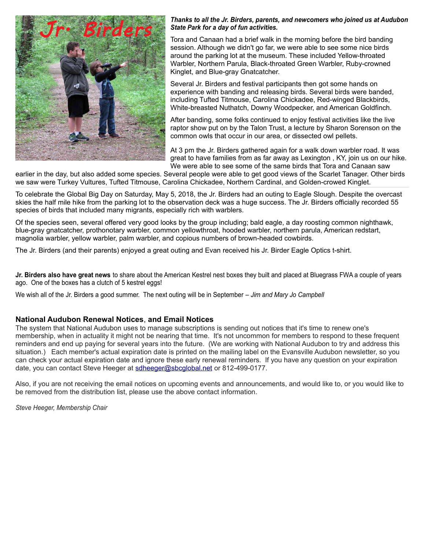

#### *Thanks to all the Jr. Birders, parents, and newcomers who joined us at Audubon State Park for a day of fun activities.*

Tora and Canaan had a brief walk in the morning before the bird banding session. Although we didn't go far, we were able to see some nice birds around the parking lot at the museum. These included Yellow-throated Warbler, Northern Parula, Black-throated Green Warbler, Ruby-crowned Kinglet, and Blue-gray Gnatcatcher.

Several Jr. Birders and festival participants then got some hands on experience with banding and releasing birds. Several birds were banded, including Tufted Titmouse, Carolina Chickadee, Red-winged Blackbirds, White-breasted Nuthatch, Downy Woodpecker, and American Goldfinch.

After banding, some folks continued to enjoy festival activities like the live raptor show put on by the Talon Trust, a lecture by Sharon Sorenson on the common owls that occur in our area, or dissected owl pellets.

At 3 pm the Jr. Birders gathered again for a walk down warbler road. It was great to have families from as far away as Lexington , KY, join us on our hike. We were able to see some of the same birds that Tora and Canaan saw

earlier in the day, but also added some species. Several people were able to get good views of the Scarlet Tanager. Other birds we saw were Turkey Vultures, Tufted Titmouse, Carolina Chickadee, Northern Cardinal, and Golden-crowed Kinglet.

To celebrate the Global Big Day on Saturday, May 5, 2018, the Jr. Birders had an outing to Eagle Slough. Despite the overcast skies the half mile hike from the parking lot to the observation deck was a huge success. The Jr. Birders officially recorded 55 species of birds that included many migrants, especially rich with warblers.

Of the species seen, several offered very good looks by the group including; bald eagle, a day roosting common nighthawk, blue-gray gnatcatcher, prothonotary warbler, common yellowthroat, hooded warbler, northern parula, American redstart, magnolia warbler, yellow warbler, palm warbler, and copious numbers of brown-headed cowbirds.

The Jr. Birders (and their parents) enjoyed a great outing and Evan received his Jr. Birder Eagle Optics t-shirt.

**Jr. Birders also have great news** to share about the American Kestrel nest boxes they built and placed at Bluegrass FWA a couple of years ago. One of the boxes has a clutch of 5 kestrel eggs!

We wish all of the Jr. Birders a good summer. The next outing will be in September *– Jim and Mary Jo Campbell*

### **National Audubon Renewal Notices**, **and Email Notices**

The system that National Audubon uses to manage subscriptions is sending out notices that it's time to renew one's membership, when in actuality it might not be nearing that time. It's not uncommon for members to respond to these frequent reminders and end up paying for several years into the future. (We are working with National Audubon to try and address this situation.) Each member's actual expiration date is printed on the mailing label on the Evansville Audubon newsletter, so you can check your actual expiration date and ignore these early renewal reminders. If you have any question on your expiration date, you can contact Steve Heeger at [sdheeger@sbcglobal.net](mailto:sdheeger@sbcglobal.net) or 812-499-0177.

Also, if you are not receiving the email notices on upcoming events and announcements, and would like to, or you would like to be removed from the distribution list, please use the above contact information.

*Steve Heeger, Membership Chair*